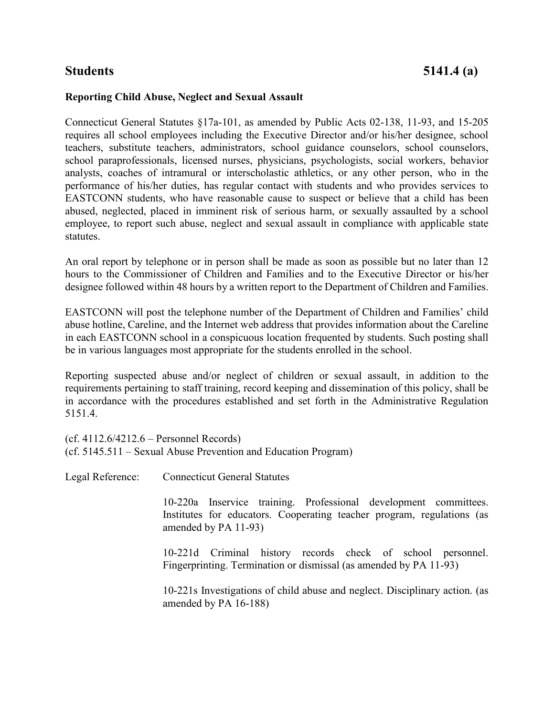## **Reporting Child Abuse, Neglect and Sexual Assault**

Connecticut General Statutes §17a-101, as amended by Public Acts 02-138, 11-93, and 15-205 requires all school employees including the Executive Director and/or his/her designee, school teachers, substitute teachers, administrators, school guidance counselors, school counselors, school paraprofessionals, licensed nurses, physicians, psychologists, social workers, behavior analysts, coaches of intramural or interscholastic athletics, or any other person, who in the performance of his/her duties, has regular contact with students and who provides services to EASTCONN students, who have reasonable cause to suspect or believe that a child has been abused, neglected, placed in imminent risk of serious harm, or sexually assaulted by a school employee, to report such abuse, neglect and sexual assault in compliance with applicable state statutes.

An oral report by telephone or in person shall be made as soon as possible but no later than 12 hours to the Commissioner of Children and Families and to the Executive Director or his/her designee followed within 48 hours by a written report to the Department of Children and Families.

EASTCONN will post the telephone number of the Department of Children and Families' child abuse hotline, Careline, and the Internet web address that provides information about the Careline in each EASTCONN school in a conspicuous location frequented by students. Such posting shall be in various languages most appropriate for the students enrolled in the school.

Reporting suspected abuse and/or neglect of children or sexual assault, in addition to the requirements pertaining to staff training, record keeping and dissemination of this policy, shall be in accordance with the procedures established and set forth in the Administrative Regulation 5151.4.

(cf. 4112.6/4212.6 – Personnel Records) (cf. 5145.511 – Sexual Abuse Prevention and Education Program)

| Legal Reference: | <b>Connecticut General Statutes</b>                                                                                                                                |
|------------------|--------------------------------------------------------------------------------------------------------------------------------------------------------------------|
|                  | 10-220a Inservice training. Professional development committees.<br>Institutes for educators. Cooperating teacher program, regulations (as<br>amended by PA 11-93) |
|                  | 10-221d Criminal history records check of school personnel.<br>Fingerprinting. Termination or dismissal (as amended by PA 11-93)                                   |
|                  | 10-221s Investigations of child abuse and neglect. Disciplinary action. (as<br>amended by PA 16-188)                                                               |